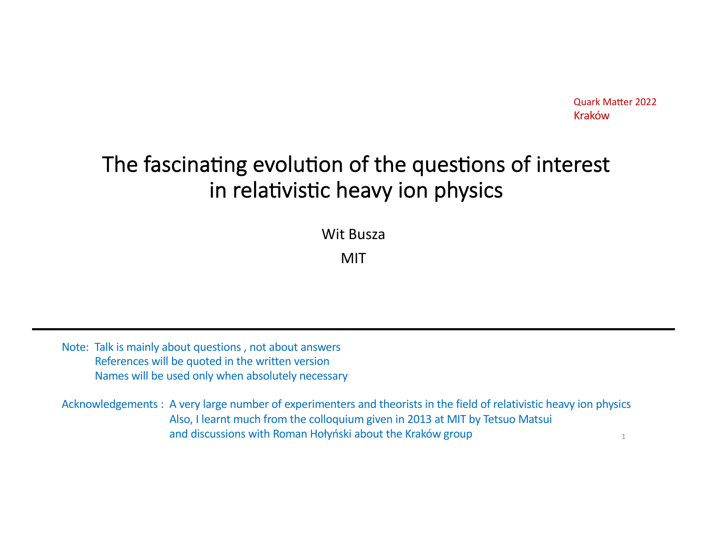# The fascinating evolution of the questions of interest in relativistic heavy ion physics

Wit Busza

MIT

Note: Talk is mainly about questions , not about answers References will be quoted in the written version Names will be used only when absolutely necessary

Acknowledgements : A very large number of experimenters and theorists in the field of relativistic heavy ion physics Also, I learnt much from the colloquium given in 2013 at MIT by Tetsuo Matsui and discussions with Roman Hołyński about the Kraków group 1 and discussions with Roman Hołyński about the Kraków group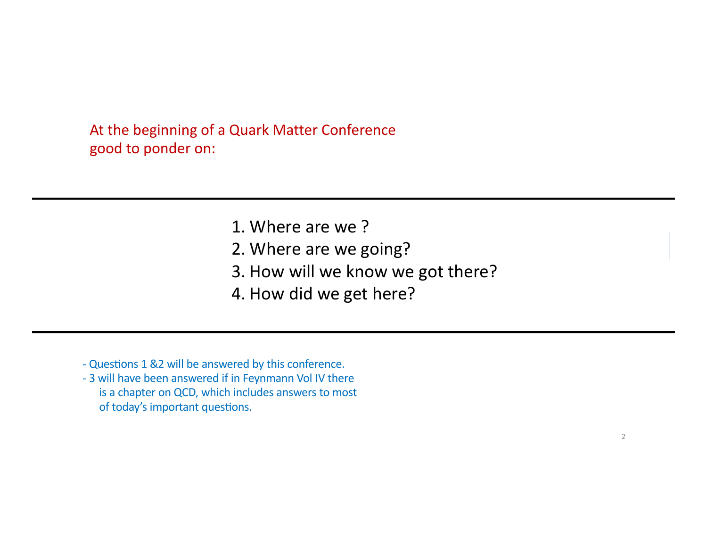At the beginning of a Quark Matter Conference good to ponder on:

- 1. Where are we ?
- 2. Where are we going?
- 3. How will we know we got there?
- 4. How did we get here?
- Questions 1 &2 will be answered by this conference.
- 3 will have been answered if in Feynmann Vol IV there is a chapter on QCD, which includes answers to most of today's important questions.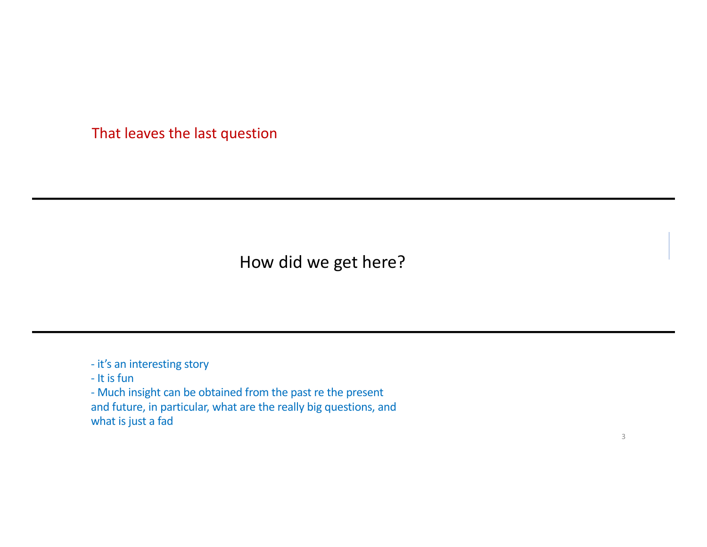That leaves the last question

How did we get here?

- it's an interesting story

- It is fun

- Much insight can be obtained from the past re the present and future, in particular, what are the really big questions, and what is just a fad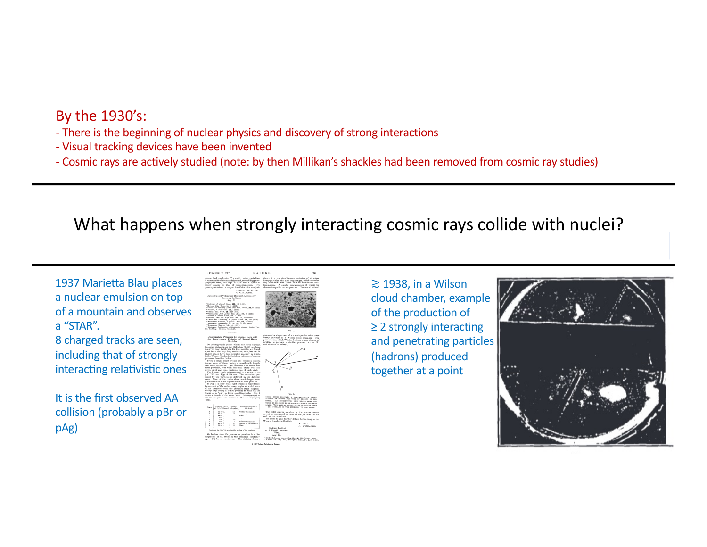### By the 1930's:

- There is the beginning of nuclear physics and discovery of strong interactions
- Visual tracking devices have been invented
- Cosmic rays are actively studied (note: by then Millikan's shackles had been removed from cosmic ray studies)

# What happens when strongly interacting cosmic rays collide with nuclei?

1937 Marietta Blau places a nuclear emulsion on top of a mountain and observes a "STAR".

8 charged tracks are seen, including that of strongly interacting relativistic ones

It is the first observed AA collision (probably a pBr or pAg)



**© 1937 Nature Publishing Group**

≳ 1938, in a Wilson cloud chamber, example of the production of ≥ 2 strongly interacting and penetrating particles (hadrons) produced together at a point

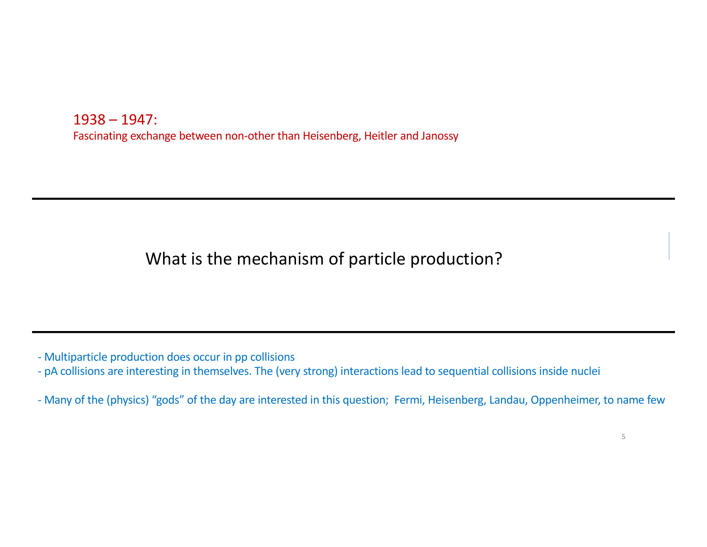1938 – 1947: Fascinating exchange between non-other than Heisenberg, Heitler and Janossy

What is the mechanism of particle production?

- Multiparticle production does occur in pp collisions

- pA collisions are interesting in themselves. The (very strong) interactions lead to sequential collisions inside nuclei

- Many of the (physics) "gods" of the day are interested in this question; Fermi, Heisenberg, Landau, Oppenheimer, to name few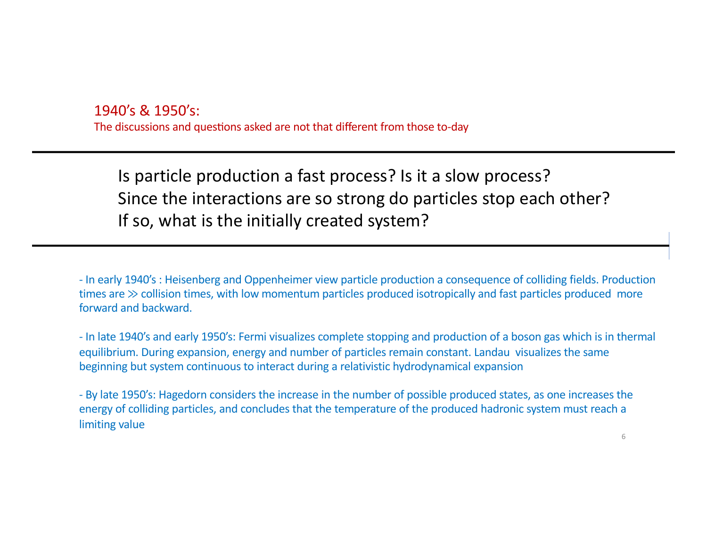1940's & 1950's: The discussions and questions asked are not that different from those to-day

Is particle production a fast process? Is it a slow process? Since the interactions are so strong do particles stop each other? If so, what is the initially created system?

- In early 1940's : Heisenberg and Oppenheimer view particle production a consequence of colliding fields. Production times are ≫ collision times, with low momentum particles produced isotropically and fast particles produced more forward and backward.

- In late 1940's and early 1950's: Fermi visualizes complete stopping and production of a boson gas which is in thermal equilibrium. During expansion, energy and number of particles remain constant. Landau visualizes the same beginning but system continuous to interact during a relativistic hydrodynamical expansion

- By late 1950's: Hagedorn considers the increase in the number of possible produced states, as one increases the energy of colliding particles, and concludes that the temperature of the produced hadronic system must reach a limiting value

6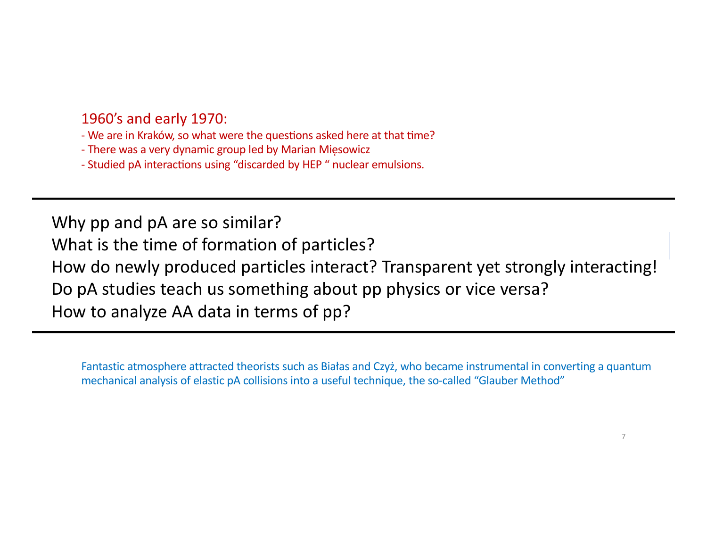### 1960's and early 1970:

- We are in Kraków, so what were the questions asked here at that time?

- There was a very dynamic group led by Marian Mięsowicz

- Studied pA interactions using "discarded by HEP" nuclear emulsions.

Why pp and pA are so similar? What is the time of formation of particles? How do newly produced particles interact? Transparent yet strongly interacting! Do pA studies teach us something about pp physics or vice versa? How to analyze AA data in terms of pp?

Fantastic atmosphere attracted theorists such as Białas and Czyż, who became instrumental in converting a quantum mechanical analysis of elastic pA collisions into a useful technique, the so-called "Glauber Method"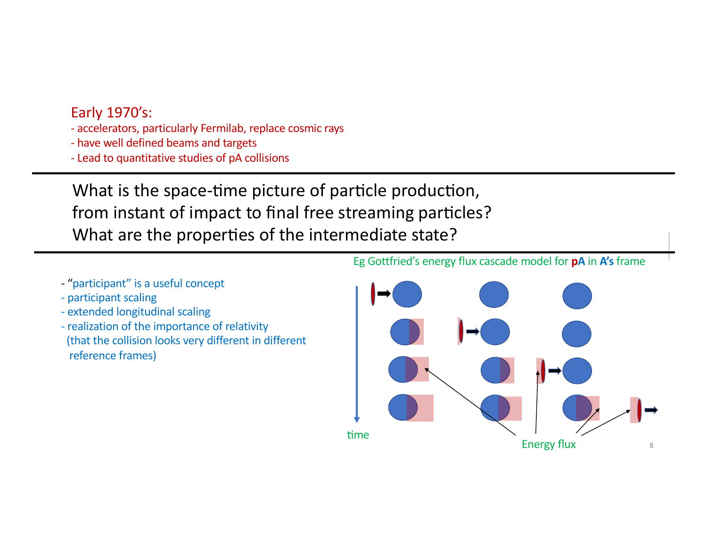### Early 1970's:

- accelerators, particularly Fermilab, replace cosmic rays
- have well defined beams and targets
- Lead to quantitative studies of pA collisions

What is the space-time picture of particle production, from instant of impact to final free streaming particles? What are the properties of the intermediate state?

- "participant" is a useful concept
- participant scaling
- extended longitudinal scaling
- realization of the importance of relativity (that the collision looks very different in different reference frames)

### Eg Gottfried's energy flux cascade model for **pA** in **A's** frame

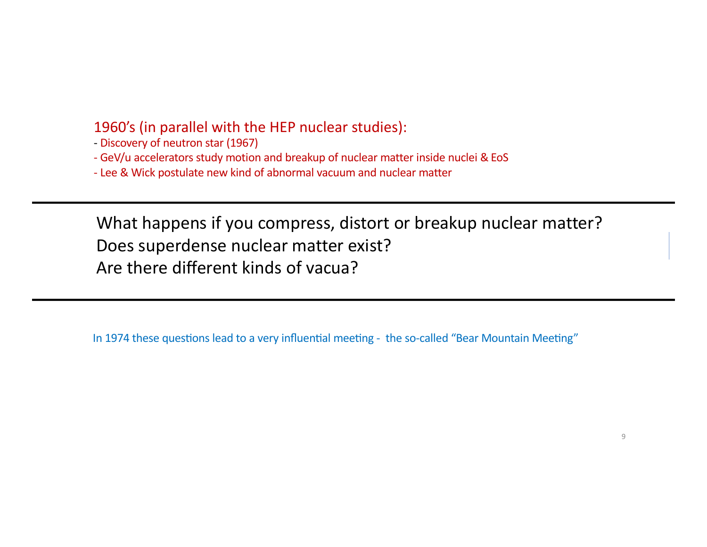### 1960's (in parallel with the HEP nuclear studies):

- Discovery of neutron star (1967)

- GeV/u accelerators study motion and breakup of nuclear matter inside nuclei & EoS

- Lee & Wick postulate new kind of abnormal vacuum and nuclear matter

What happens if you compress, distort or breakup nuclear matter? Does superdense nuclear matter exist? Are there different kinds of vacua?

In 1974 these questions lead to a very influential meeting - the so-called "Bear Mountain Meeting"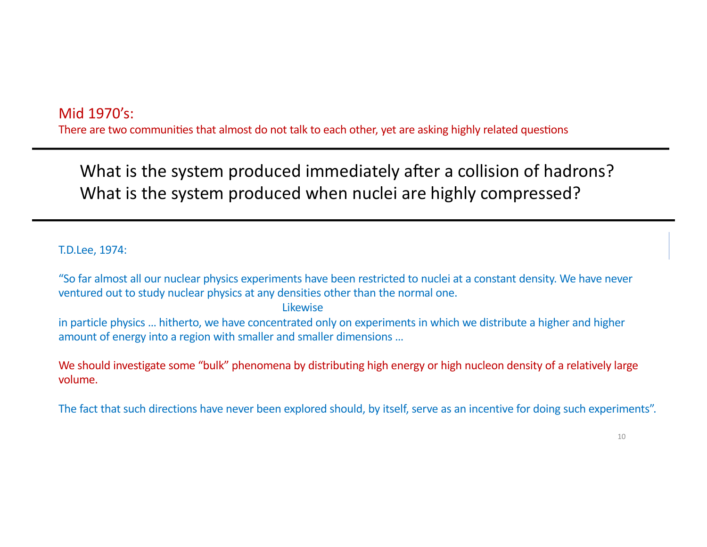### Mid 1970's:

There are two communities that almost do not talk to each other, yet are asking highly related questions

What is the system produced immediately after a collision of hadrons? What is the system produced when nuclei are highly compressed?

T.D.Lee, 1974:

"So far almost all our nuclear physics experiments have been restricted to nuclei at a constant density. We have never ventured out to study nuclear physics at any densities other than the normal one.

#### Likewise

in particle physics … hitherto, we have concentrated only on experiments in which we distribute a higher and higher amount of energy into a region with smaller and smaller dimensions …

We should investigate some "bulk" phenomena by distributing high energy or high nucleon density of a relatively large volume.

The fact that such directions have never been explored should, by itself, serve as an incentive for doing such experiments".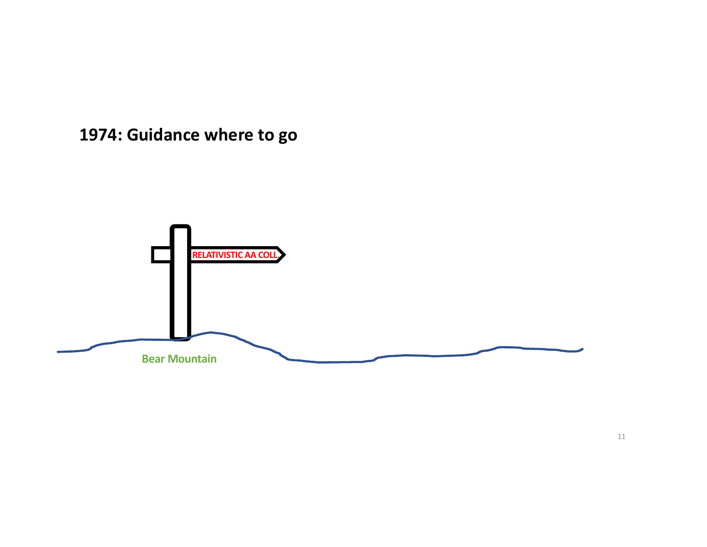# **1974: Guidance where to go**

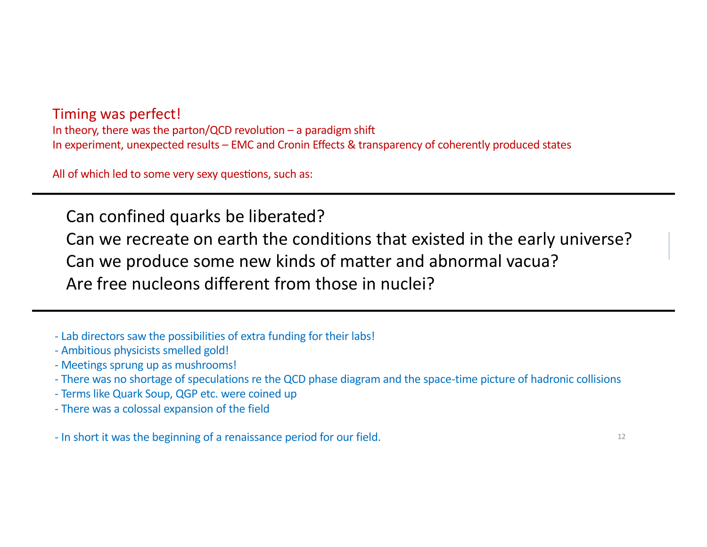Timing was perfect! In theory, there was the parton/QCD revolution – a paradigm shift In experiment, unexpected results – EMC and Cronin Effects & transparency of coherently produced states

All of which led to some very sexy questions, such as:

Can confined quarks be liberated?

Can we recreate on earth the conditions that existed in the early universe?

Can we produce some new kinds of matter and abnormal vacua?

Are free nucleons different from those in nuclei?

- Lab directors saw the possibilities of extra funding for their labs!
- Ambitious physicists smelled gold!
- Meetings sprung up as mushrooms!
- There was no shortage of speculations re the QCD phase diagram and the space-time picture of hadronic collisions
- Terms like Quark Soup, QGP etc. were coined up
- There was a colossal expansion of the field

- In short it was the beginning of a renaissance period for our field.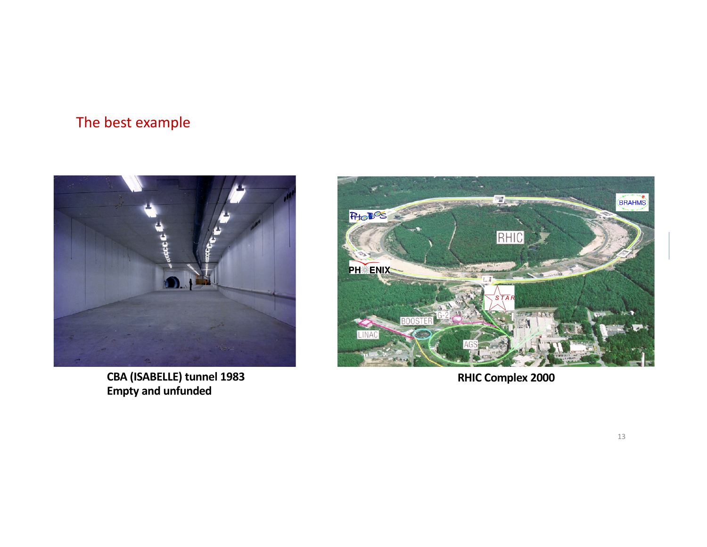### The best example



**CBA (ISABELLE) tunnel 1983 Empty and unfunded**



**RHIC Complex 2000**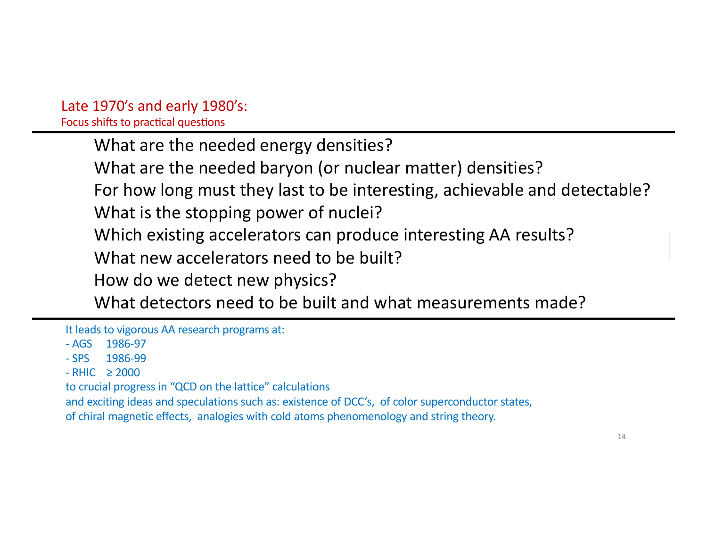# Late 1970's and early 1980's:

Focus shifts to practical questions

What are the needed energy densities?

What are the needed baryon (or nuclear matter) densities?

For how long must they last to be interesting, achievable and detectable? What is the stopping power of nuclei?

Which existing accelerators can produce interesting AA results?

What new accelerators need to be built?

How do we detect new physics?

What detectors need to be built and what measurements made?

It leads to vigorous AA research programs at:

- AGS 1986-97
- SPS 1986-99
- $-RHIC > 2000$

to crucial progress in "QCD on the lattice" calculations

and exciting ideas and speculations such as: existence of DCC's, of color superconductor states, of chiral magnetic effects, analogies with cold atoms phenomenology and string theory.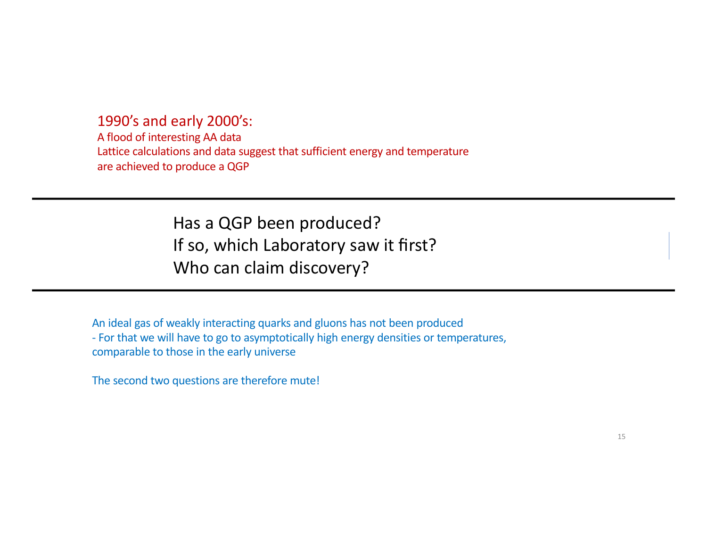1990's and early 2000's:

A flood of interesting AA data Lattice calculations and data suggest that sufficient energy and temperature are achieved to produce a QGP

> Has a QGP been produced? If so, which Laboratory saw it first? Who can claim discovery?

An ideal gas of weakly interacting quarks and gluons has not been produced - For that we will have to go to asymptotically high energy densities or temperatures, comparable to those in the early universe

The second two questions are therefore mute!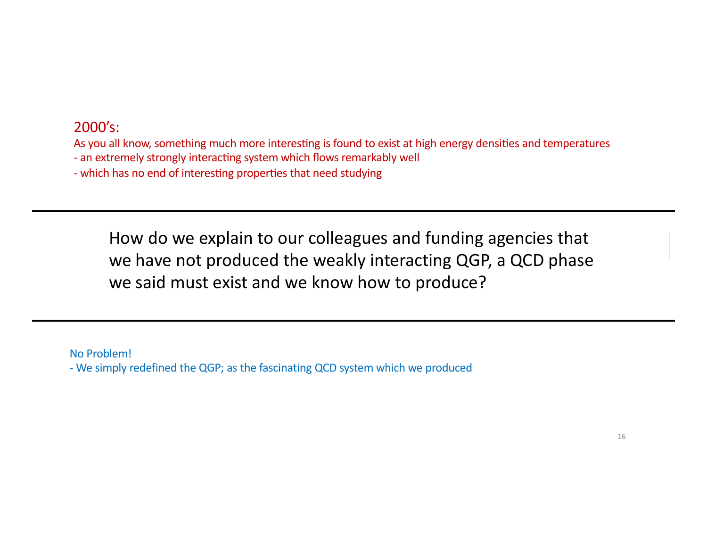### 2000's:

As you all know, something much more interesting is found to exist at high energy densities and temperatures

- an extremely strongly interacting system which flows remarkably well
- which has no end of interesting properties that need studying

How do we explain to our colleagues and funding agencies that we have not produced the weakly interacting QGP, a QCD phase we said must exist and we know how to produce?

No Problem!

- We simply redefined the QGP; as the fascinating QCD system which we produced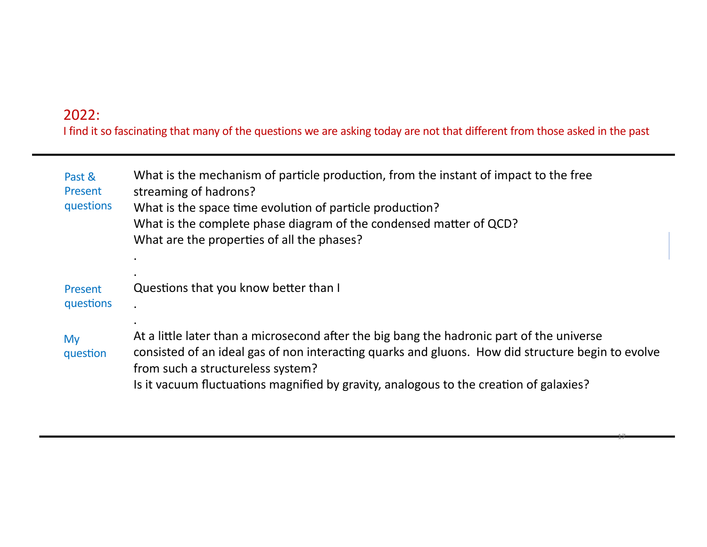### 2022:

I find it so fascinating that many of the questions we are asking today are not that different from those asked in the past

| Past &<br>Present<br>questions | What is the mechanism of particle production, from the instant of impact to the free<br>streaming of hadrons?<br>What is the space time evolution of particle production?<br>What is the complete phase diagram of the condensed matter of QCD?<br>What are the properties of all the phases?                                 |
|--------------------------------|-------------------------------------------------------------------------------------------------------------------------------------------------------------------------------------------------------------------------------------------------------------------------------------------------------------------------------|
| Present<br>questions           | Questions that you know better than I                                                                                                                                                                                                                                                                                         |
| My<br>question                 | At a little later than a microsecond after the big bang the hadronic part of the universe<br>consisted of an ideal gas of non interacting quarks and gluons. How did structure begin to evolve<br>from such a structureless system?<br>Is it vacuum fluctuations magnified by gravity, analogous to the creation of galaxies? |

17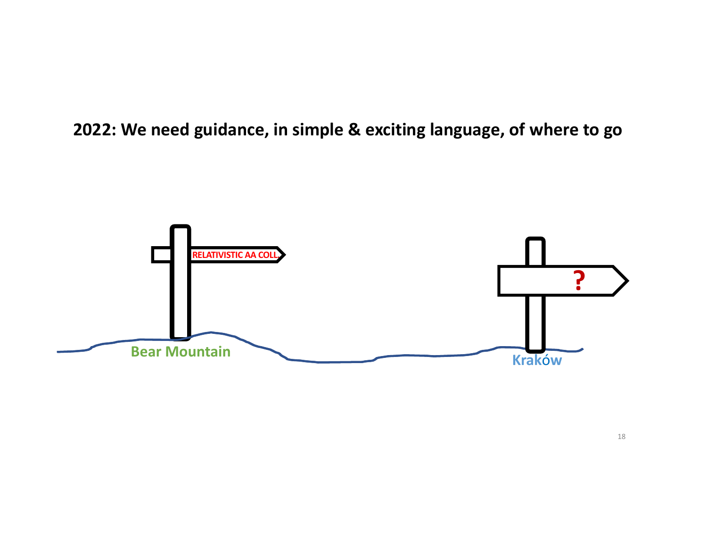**2022: We need guidance, in simple & exciting language, of where to go**

![](_page_17_Figure_1.jpeg)